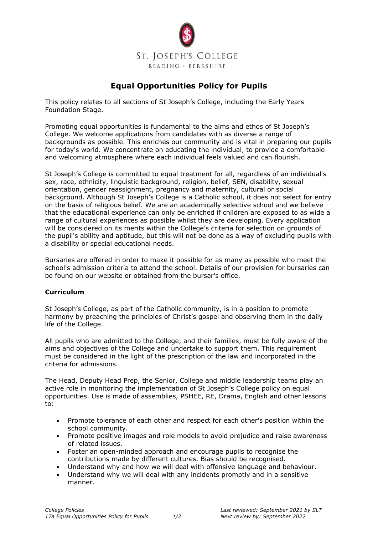

# **Equal Opportunities Policy for Pupils**

This policy relates to all sections of St Joseph's College, including the Early Years Foundation Stage.

Promoting equal opportunities is fundamental to the aims and ethos of St Joseph's College. We welcome applications from candidates with as diverse a range of backgrounds as possible. This enriches our community and is vital in preparing our pupils for today's world. We concentrate on educating the individual, to provide a comfortable and welcoming atmosphere where each individual feels valued and can flourish.

St Joseph's College is committed to equal treatment for all, regardless of an individual's sex, race, ethnicity, linguistic background, religion, belief, SEN, disability, sexual orientation, gender reassignment, pregnancy and maternity, cultural or social background. Although St Joseph's College is a Catholic school, it does not select for entry on the basis of religious belief. We are an academically selective school and we believe that the educational experience can only be enriched if children are exposed to as wide a range of cultural experiences as possible whilst they are developing. Every application will be considered on its merits within the College's criteria for selection on grounds of the pupil's ability and aptitude, but this will not be done as a way of excluding pupils with a disability or special educational needs.

Bursaries are offered in order to make it possible for as many as possible who meet the school's admission criteria to attend the school. Details of our provision for bursaries can be found on our website or obtained from the bursar's office.

#### **Curriculum**

St Joseph's College, as part of the Catholic community, is in a position to promote harmony by preaching the principles of Christ's gospel and observing them in the daily life of the College.

All pupils who are admitted to the College, and their families, must be fully aware of the aims and objectives of the College and undertake to support them. This requirement must be considered in the light of the prescription of the law and incorporated in the criteria for admissions.

The Head, Deputy Head Prep, the Senior, College and middle leadership teams play an active role in monitoring the implementation of St Joseph's College policy on equal opportunities. Use is made of assemblies, PSHEE, RE, Drama, English and other lessons to:

- Promote tolerance of each other and respect for each other's position within the school community.
- Promote positive images and role models to avoid prejudice and raise awareness of related issues.
- Foster an open-minded approach and encourage pupils to recognise the contributions made by different cultures. Bias should be recognised.
- Understand why and how we will deal with offensive language and behaviour.
- Understand why we will deal with any incidents promptly and in a sensitive manner.